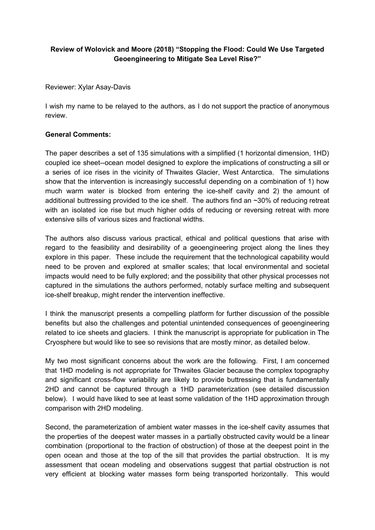# **Review of Wolovick and Moore (2018) "Stopping the Flood: Could We Use Targeted Geoengineering to Mitigate Sea Level Rise?"**

### Reviewer: Xylar Asay-Davis

I wish my name to be relayed to the authors, as I do not support the practice of anonymous review.

### **General Comments:**

The paper describes a set of 135 simulations with a simplified (1 horizontal dimension, 1HD) coupled ice sheet--ocean model designed to explore the implications of constructing a sill or a series of ice rises in the vicinity of Thwaites Glacier, West Antarctica. The simulations show that the intervention is increasingly successful depending on a combination of 1) how much warm water is blocked from entering the ice-shelf cavity and 2) the amount of additional buttressing provided to the ice shelf. The authors find an ~30% of reducing retreat with an isolated ice rise but much higher odds of reducing or reversing retreat with more extensive sills of various sizes and fractional widths.

The authors also discuss various practical, ethical and political questions that arise with regard to the feasibility and desirability of a geoengineering project along the lines they explore in this paper. These include the requirement that the technological capability would need to be proven and explored at smaller scales; that local environmental and societal impacts would need to be fully explored; and the possibility that other physical processes not captured in the simulations the authors performed, notably surface melting and subsequent ice-shelf breakup, might render the intervention ineffective.

I think the manuscript presents a compelling platform for further discussion of the possible benefits but also the challenges and potential unintended consequences of geoengineering related to ice sheets and glaciers. I think the manuscript is appropriate for publication in The Cryosphere but would like to see so revisions that are mostly minor, as detailed below.

My two most significant concerns about the work are the following. First, I am concerned that 1HD modeling is not appropriate for Thwaites Glacier because the complex topography and significant cross-flow variability are likely to provide buttressing that is fundamentally 2HD and cannot be captured through a 1HD parameterization (see detailed discussion below). I would have liked to see at least some validation of the 1HD approximation through comparison with 2HD modeling.

Second, the parameterization of ambient water masses in the ice-shelf cavity assumes that the properties of the deepest water masses in a partially obstructed cavity would be a linear combination (proportional to the fraction of obstruction) of those at the deepest point in the open ocean and those at the top of the sill that provides the partial obstruction. It is my assessment that ocean modeling and observations suggest that partial obstruction is not very efficient at blocking water masses form being transported horizontally. This would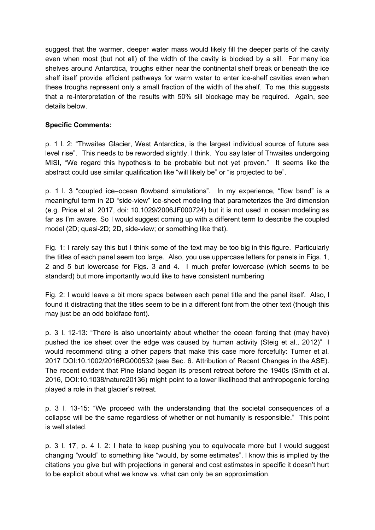suggest that the warmer, deeper water mass would likely fill the deeper parts of the cavity even when most (but not all) of the width of the cavity is blocked by a sill. For many ice shelves around Antarctica, troughs either near the continental shelf break or beneath the ice shelf itself provide efficient pathways for warm water to enter ice-shelf cavities even when these troughs represent only a small fraction of the width of the shelf. To me, this suggests that a re-interpretation of the results with 50% sill blockage may be required. Again, see details below.

# **Specific Comments:**

p. 1 l. 2: "Thwaites Glacier, West Antarctica, is the largest individual source of future sea level rise". This needs to be reworded slightly, I think. You say later of Thwaites undergoing MISI, "We regard this hypothesis to be probable but not yet proven." It seems like the abstract could use similar qualification like "will likely be" or "is projected to be".

p. 1 l. 3 "coupled ice–ocean flowband simulations". In my experience, "flow band" is a meaningful term in 2D "side-view" ice-sheet modeling that parameterizes the 3rd dimension (e.g. Price et al. 2017, doi: 10.1029/2006JF000724) but it is not used in ocean modeling as far as I'm aware. So I would suggest coming up with a different term to describe the coupled model (2D; quasi-2D; 2D, side-view; or something like that).

Fig. 1: I rarely say this but I think some of the text may be too big in this figure. Particularly the titles of each panel seem too large. Also, you use uppercase letters for panels in Figs. 1, 2 and 5 but lowercase for Figs. 3 and 4. I much prefer lowercase (which seems to be standard) but more importantly would like to have consistent numbering

Fig. 2: I would leave a bit more space between each panel title and the panel itself. Also, I found it distracting that the titles seem to be in a different font from the other text (though this may just be an odd boldface font).

p. 3 l. 12-13: "There is also uncertainty about whether the ocean forcing that (may have) pushed the ice sheet over the edge was caused by human activity (Steig et al., 2012)" I would recommend citing a other papers that make this case more forcefully: Turner et al. 2017 DOI:10.1002/2016RG000532 (see Sec. 6. Attribution of Recent Changes in the ASE). The recent evident that Pine Island began its present retreat before the 1940s (Smith et al. 2016, DOI:10.1038/nature20136) might point to a lower likelihood that anthropogenic forcing played a role in that glacier's retreat.

p. 3 l. 13-15: "We proceed with the understanding that the societal consequences of a collapse will be the same regardless of whether or not humanity is responsible." This point is well stated.

p. 3 l. 17, p. 4 l. 2: I hate to keep pushing you to equivocate more but I would suggest changing "would" to something like "would, by some estimates". I know this is implied by the citations you give but with projections in general and cost estimates in specific it doesn't hurt to be explicit about what we know vs. what can only be an approximation.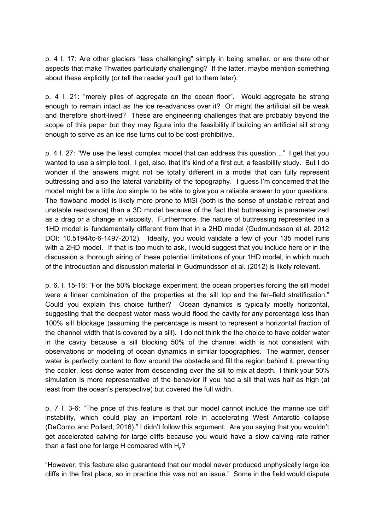p. 4 l. 17: Are other glaciers "less challenging" simply in being smaller, or are there other aspects that make Thwaites particularly challenging? If the latter, maybe mention something about these explicitly (or tell the reader you'll get to them later).

p. 4 l. 21: "merely piles of aggregate on the ocean floor". Would aggregate be strong enough to remain intact as the ice re-advances over it? Or might the artificial sill be weak and therefore short-lived? These are engineering challenges that are probably beyond the scope of this paper but they may figure into the feasibility if building an artificial sill strong enough to serve as an ice rise turns out to be cost-prohibitive.

p. 4 l. 27: "We use the least complex model that can address this question…" I get that you wanted to use a simple tool. I get, also, that it's kind of a first cut, a feasibility study. But I do wonder if the answers might not be totally different in a model that can fully represent buttressing and also the lateral variability of the topography. I guess I'm concerned that the model might be a little *too* simple to be able to give you a reliable answer to your questions. The flowband model is likely more prone to MISI (both is the sense of unstable retreat and unstable readvance) than a 3D model because of the fact that buttressing is parameterized as a drag or a change in viscosity. Furthermore, the nature of buttressing represented in a 1HD model is fundamentally different from that in a 2HD model (Gudmundsson et al. 2012 DOI: 10.5194/tc-6-1497-2012). Ideally, you would validate a few of your 135 model runs with a 2HD model. If that is too much to ask, I would suggest that you include here or in the discussion a thorough airing of these potential limitations of your 1HD model, in which much of the introduction and discussion material in Gudmundsson et al. (2012) is likely relevant.

p. 6. l. 15-16: "For the 50% blockage experiment, the ocean properties forcing the sill model were a linear combination of the properties at the sill top and the far–field stratification." Could you explain this choice further? Ocean dynamics is typically mostly horizontal, suggesting that the deepest water mass would flood the cavity for any percentage less than 100% sill blockage (assuming the percentage is meant to represent a horizontal fraction of the channel width that is covered by a sill). I do not think the the choice to have colder water in the cavity because a sill blocking 50% of the channel width is not consistent with observations or modeling of ocean dynamics in similar topographies. The warmer, denser water is perfectly content to flow around the obstacle and fill the region behind it, preventing the cooler, less dense water from descending over the sill to mix at depth. I think your 50% simulation is more representative of the behavior if you had a sill that was half as high (at least from the ocean's perspective) but covered the full width.

p. 7 l. 3-6: "The price of this feature is that our model cannot include the marine ice cliff instability, which could play an important role in accelerating West Antarctic collapse (DeConto and Pollard, 2016)." I didn't follow this argument. Are you saying that you wouldn't get accelerated calving for large cliffs because you would have a slow calving rate rather than a fast one for large H compared with  $H_0$ ?

"However, this feature also guaranteed that our model never produced unphysically large ice cliffs in the first place, so in practice this was not an issue." Some in the field would dispute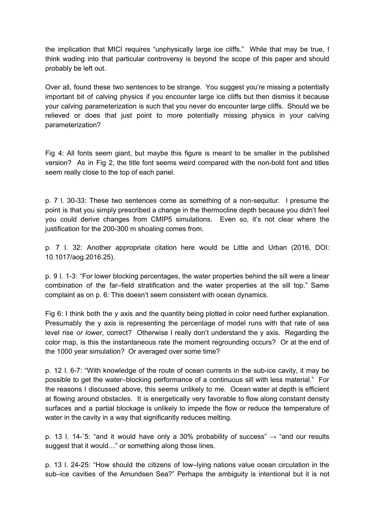the implication that MICI requires "unphysically large ice cliffs." While that may be true, I think wading into that particular controversy is beyond the scope of this paper and should probably be left out.

Over all, found these two sentences to be strange. You suggest you're missing a potentially important bit of calving physics if you encounter large ice cliffs but then dismiss it because your calving parameterization is such that you never do encounter large cliffs. Should we be relieved or does that just point to more potentially missing physics in your calving parameterization?

Fig 4: All fonts seem giant, but maybe this figure is meant to be smaller in the published version? As in Fig 2, the title font seems weird compared with the non-bold font and titles seem really close to the top of each panel.

p. 7 l. 30-33: These two sentences come as something of a non-sequitur. I presume the point is that you simply prescribed a change in the thermocline depth because you didn't feel you could derive changes from CMIP5 simulations. Even so, it's not clear where the justification for the 200-300 m shoaling comes from.

p. 7 l. 32: Another appropriate citation here would be Little and Urban (2016, DOI: 10.1017/aog.2016.25).

p. 9 l. 1-3: "For lower blocking percentages, the water properties behind the sill were a linear combination of the far–field stratification and the water properties at the sill top." Same complaint as on p. 6: This doesn't seem consistent with ocean dynamics.

Fig 6: I think both the y axis and the quantity being plotted in color need further explanation. Presumably the y axis is representing the percentage of model runs with that rate of sea level rise *or lower*, correct? Otherwise I really don't understand the y axis. Regarding the color map, is this the instantaneous rate the moment regrounding occurs? Or at the end of the 1000 year simulation? Or averaged over some time?

p. 12 l. 6-7: "With knowledge of the route of ocean currents in the sub-ice cavity, it may be possible to get the water–blocking performance of a continuous sill with less material." For the reasons I discussed above, this seems unlikely to me. Ocean water at depth is efficient at flowing around obstacles. It is energetically very favorable to flow along constant density surfaces and a partial blockage is unlikely to impede the flow or reduce the temperature of water in the cavity in a way that significantly reduces melting.

p. 13 l. 14-`5: "and it would have only a 30% probability of success"  $\rightarrow$  "and our results suggest that it would…" or something along those lines.

p. 13 l. 24-25: "How should the citizens of low–lying nations value ocean circulation in the sub–ice cavities of the Amundsen Sea?" Perhaps the ambiguity is intentional but it is not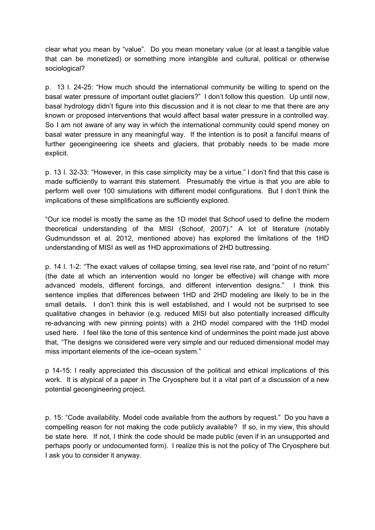clear what you mean by "value". Do you mean monetary value (or at least a tangible value that can be monetized) or something more intangible and cultural, political or otherwise sociological?

p. 13 l. 24-25: "How much should the international community be willing to spend on the basal water pressure of important outlet glaciers?" I don't follow this question. Up until now, basal hydrology didn't figure into this discussion and it is not clear to me that there are any known or proposed interventions that would affect basal water pressure in a controlled way. So I am not aware of any way in which the international community could spend money on basal water pressure in any meaningful way. If the intention is to posit a fanciful means of further geoengineering ice sheets and glaciers, that probably needs to be made more explicit.

p. 13 l. 32-33: "However, in this case simplicity may be a virtue." I don't find that this case is made sufficiently to warrant this statement. Presumably the virtue is that you are able to perform well over 100 simulations with different model configurations. But I don't think the implications of these simplifications are sufficiently explored.

"Our ice model is mostly the same as the 1D model that Schoof used to define the modern theoretical understanding of the MISI (Schoof, 2007)." A lot of literature (notably Gudmundsson et al. 2012, mentioned above) has explored the limitations of the 1HD understanding of MISI as well as 1HD approximations of 2HD buttressing.

p. 14 l. 1-2: "The exact values of collapse timing, sea level rise rate, and "point of no return" (the date at which an intervention would no longer be effective) will change with more advanced models, different forcings, and different intervention designs." I think this sentence implies that differences between 1HD and 2HD modeling are likely to be in the small details. I don't think this is well established, and I would not be surprised to see qualitative changes in behavior (e.g. reduced MISI but also potentially increased difficulty re-advancing with new pinning points) with a 2HD model compared with the 1HD model used here. I feel like the tone of this sentence kind of undermines the point made just above that, "The designs we considered were very simple and our reduced dimensional model may miss important elements of the ice–ocean system."

p 14-15: I really appreciated this discussion of the political and ethical implications of this work. It is atypical of a paper in The Cryosphere but it a vital part of a discussion of a new potential geoengineering project.

p. 15: "Code availability. Model code available from the authors by request." Do you have a compelling reason for not making the code publicly available? If so, in my view, this should be state here. If not, I think the code should be made public (even if in an unsupported and perhaps poorly or undocumented form). I realize this is not the policy of The Cryosphere but I ask you to consider it anyway.